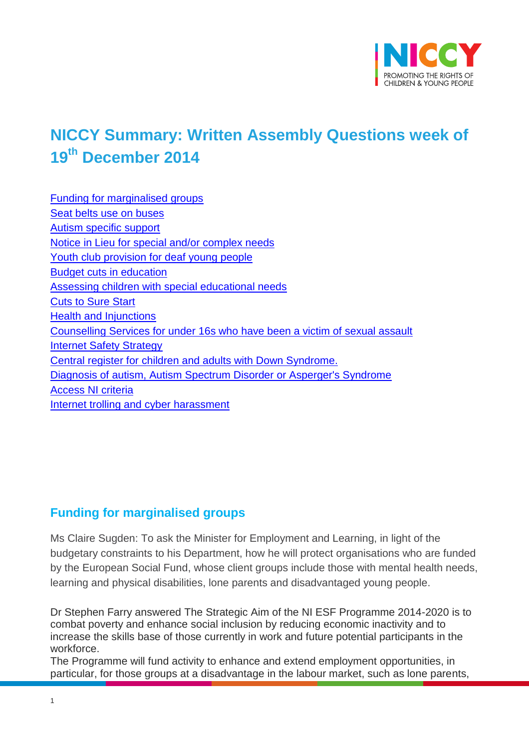

# <span id="page-0-12"></span>**NICCY Summary: Written Assembly Questions week of 19th December 2014**

<span id="page-0-10"></span><span id="page-0-9"></span><span id="page-0-8"></span><span id="page-0-7"></span><span id="page-0-6"></span><span id="page-0-5"></span><span id="page-0-4"></span><span id="page-0-3"></span><span id="page-0-2"></span><span id="page-0-1"></span><span id="page-0-0"></span>[Funding for marginalised groups](#page-0-0) [Seat belts use on buses](#page-0-1) [Autism specific support](#page-0-2) [Notice in Lieu for special and/or complex needs](#page-0-3) [Youth club provision for deaf young people](#page-0-4) [Budget cuts in education](#page-0-5) [Assessing children with special educational needs](#page-0-6) [Cuts to Sure Start](#page-0-7) [Health and Injunctions](#page-0-8) [Counselling Services for under 16s who have been a victim of sexual assault](#page-0-9) [Internet Safety Strategy](#page-0-10) [Central register for children and adults with Down Syndrome.](#page-0-11) [Diagnosis of autism, Autism Spectrum Disorder or Asperger's Syndrome](#page-8-0) [Access NI criteria](#page-9-0) [Internet trolling and cyber harassment](#page-10-0)

# <span id="page-0-11"></span>**Funding for marginalised groups**

Ms Claire Sugden: To ask the Minister for Employment and Learning, in light of the budgetary constraints to his Department, how he will protect organisations who are funded by the European Social Fund, whose client groups include those with mental health needs, learning and physical disabilities, lone parents and disadvantaged young people.

Dr Stephen Farry answered The Strategic Aim of the NI ESF Programme 2014-2020 is to combat poverty and enhance social inclusion by reducing economic inactivity and to increase the skills base of those currently in work and future potential participants in the workforce.

The Programme will fund activity to enhance and extend employment opportunities, in particular, for those groups at a disadvantage in the labour market, such as lone parents,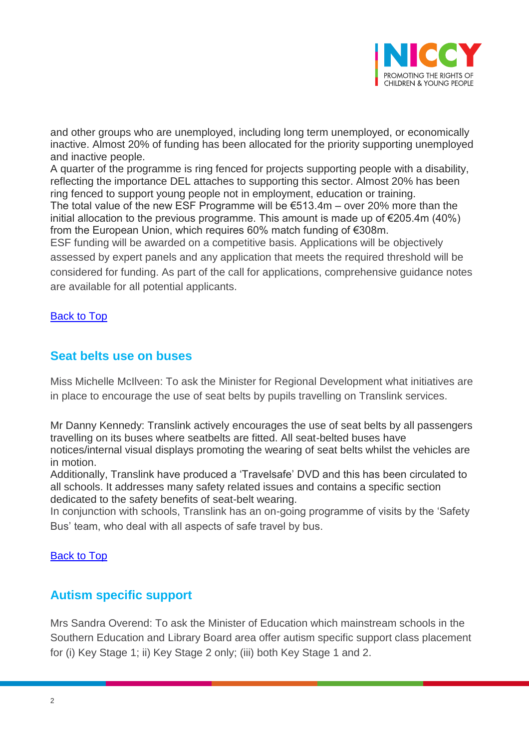

and other groups who are unemployed, including long term unemployed, or economically inactive. Almost 20% of funding has been allocated for the priority supporting unemployed and inactive people.

A quarter of the programme is ring fenced for projects supporting people with a disability, reflecting the importance DEL attaches to supporting this sector. Almost 20% has been ring fenced to support young people not in employment, education or training. The total value of the new ESF Programme will be  $€513.4m - over 20%$  more than the initial allocation to the previous programme. This amount is made up of  $\epsilon$ 205.4m (40%) from the European Union, which requires 60% match funding of €308m. ESF funding will be awarded on a competitive basis. Applications will be objectively

assessed by expert panels and any application that meets the required threshold will be considered for funding. As part of the call for applications, comprehensive guidance notes are available for all potential applicants.

#### [Back to Top](#page-0-12)

## **Seat belts use on buses**

Miss Michelle McIlveen: To ask the Minister for Regional Development what initiatives are in place to encourage the use of seat belts by pupils travelling on Translink services.

Mr Danny Kennedy: Translink actively encourages the use of seat belts by all passengers travelling on its buses where seatbelts are fitted. All seat-belted buses have notices/internal visual displays promoting the wearing of seat belts whilst the vehicles are in motion.

Additionally, Translink have produced a 'Travelsafe' DVD and this has been circulated to all schools. It addresses many safety related issues and contains a specific section dedicated to the safety benefits of seat-belt wearing.

In conjunction with schools, Translink has an on-going programme of visits by the 'Safety Bus' team, who deal with all aspects of safe travel by bus.

#### [Back to Top](#page-0-12)

## **Autism specific support**

Mrs Sandra Overend: To ask the Minister of Education which mainstream schools in the Southern Education and Library Board area offer autism specific support class placement for (i) Key Stage 1; ii) Key Stage 2 only; (iii) both Key Stage 1 and 2.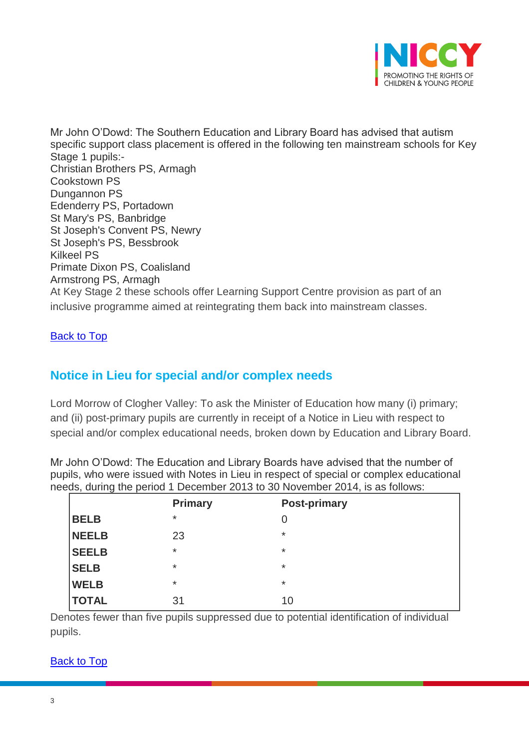

Mr John O'Dowd: The Southern Education and Library Board has advised that autism specific support class placement is offered in the following ten mainstream schools for Key Stage 1 pupils:- Christian Brothers PS, Armagh Cookstown PS Dungannon PS Edenderry PS, Portadown St Mary's PS, Banbridge St Joseph's Convent PS, Newry St Joseph's PS, Bessbrook Kilkeel PS Primate Dixon PS, Coalisland Armstrong PS, Armagh At Key Stage 2 these schools offer Learning Support Centre provision as part of an inclusive programme aimed at reintegrating them back into mainstream classes.

[Back to Top](#page-0-12)

# **Notice in Lieu for special and/or complex needs**

Lord Morrow of Clogher Valley: To ask the Minister of Education how many (i) primary; and (ii) post-primary pupils are currently in receipt of a Notice in Lieu with respect to special and/or complex educational needs, broken down by Education and Library Board.

Mr John O'Dowd: The Education and Library Boards have advised that the number of pupils, who were issued with Notes in Lieu in respect of special or complex educational needs, during the period 1 December 2013 to 30 November 2014, is as follows:

|              | <b>Primary</b> | <b>Post-primary</b> |  |
|--------------|----------------|---------------------|--|
| <b>BELB</b>  | $^\star$       | 0                   |  |
| <b>NEELB</b> | 23             | $\ast$              |  |
| <b>SEELB</b> | $\star$        | $\ast$              |  |
| <b>SELB</b>  | $\star$        | *                   |  |
| <b>WELB</b>  | $\star$        | $\star$             |  |
| <b>TOTAL</b> | 31             | 10                  |  |

Denotes fewer than five pupils suppressed due to potential identification of individual pupils.

#### [Back to Top](#page-0-12)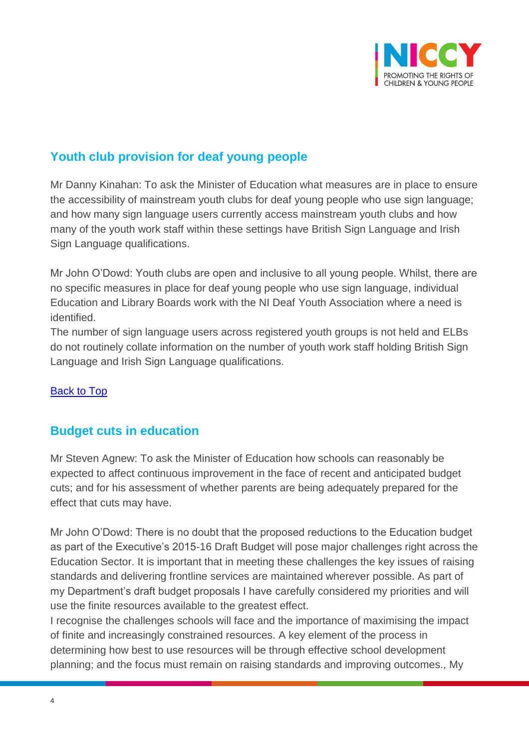

# **Youth club provision for deaf young people**

Mr Danny Kinahan: To ask the Minister of Education what measures are in place to ensure the accessibility of mainstream youth clubs for deaf young people who use sign language; and how many sign language users currently access mainstream youth clubs and how many of the youth work staff within these settings have British Sign Language and Irish Sign Language qualifications.

Mr John O'Dowd: Youth clubs are open and inclusive to all young people. Whilst, there are no specific measures in place for deaf young people who use sign language, individual Education and Library Boards work with the NI Deaf Youth Association where a need is identified.

The number of sign language users across registered youth groups is not held and ELBs do not routinely collate information on the number of youth work staff holding British Sign Language and Irish Sign Language qualifications.

## [Back to Top](#page-0-12)

# **Budget cuts in education**

Mr Steven Agnew: To ask the Minister of Education how schools can reasonably be expected to affect continuous improvement in the face of recent and anticipated budget cuts; and for his assessment of whether parents are being adequately prepared for the effect that cuts may have.

Mr John O'Dowd: There is no doubt that the proposed reductions to the Education budget as part of the Executive's 2015-16 Draft Budget will pose major challenges right across the Education Sector. It is important that in meeting these challenges the key issues of raising standards and delivering frontline services are maintained wherever possible. As part of my Department's draft budget proposals I have carefully considered my priorities and will use the finite resources available to the greatest effect.

I recognise the challenges schools will face and the importance of maximising the impact of finite and increasingly constrained resources. A key element of the process in determining how best to use resources will be through effective school development planning; and the focus must remain on raising standards and improving outcomes., My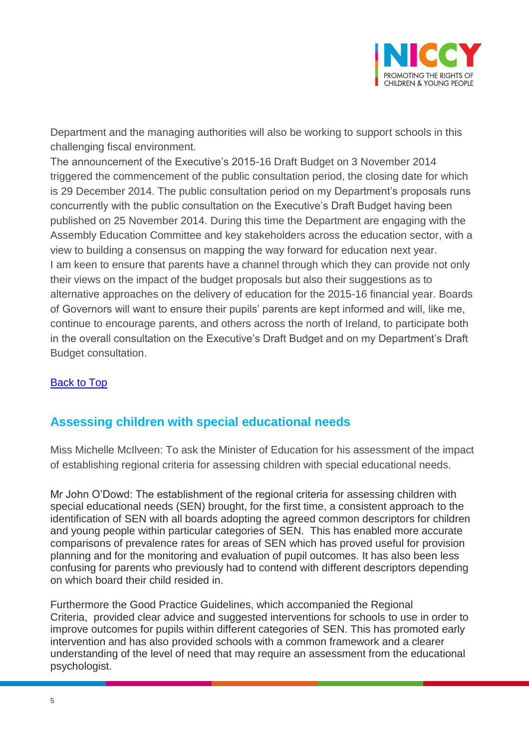

Department and the managing authorities will also be working to support schools in this challenging fiscal environment.

The announcement of the Executive's 2015-16 Draft Budget on 3 November 2014 triggered the commencement of the public consultation period, the closing date for which is 29 December 2014. The public consultation period on my Department's proposals runs concurrently with the public consultation on the Executive's Draft Budget having been published on 25 November 2014. During this time the Department are engaging with the Assembly Education Committee and key stakeholders across the education sector, with a view to building a consensus on mapping the way forward for education next year. I am keen to ensure that parents have a channel through which they can provide not only their views on the impact of the budget proposals but also their suggestions as to alternative approaches on the delivery of education for the 2015-16 financial year. Boards of Governors will want to ensure their pupils' parents are kept informed and will, like me, continue to encourage parents, and others across the north of Ireland, to participate both in the overall consultation on the Executive's Draft Budget and on my Department's Draft Budget consultation.

## [Back to Top](#page-0-12)

## **Assessing children with special educational needs**

Miss Michelle McIlveen: To ask the Minister of Education for his assessment of the impact of establishing regional criteria for assessing children with special educational needs.

Mr John O'Dowd: The establishment of the regional criteria for assessing children with special educational needs (SEN) brought, for the first time, a consistent approach to the identification of SEN with all boards adopting the agreed common descriptors for children and young people within particular categories of SEN. This has enabled more accurate comparisons of prevalence rates for areas of SEN which has proved useful for provision planning and for the monitoring and evaluation of pupil outcomes. It has also been less confusing for parents who previously had to contend with different descriptors depending on which board their child resided in.

Furthermore the Good Practice Guidelines, which accompanied the Regional Criteria, provided clear advice and suggested interventions for schools to use in order to improve outcomes for pupils within different categories of SEN. This has promoted early intervention and has also provided schools with a common framework and a clearer understanding of the level of need that may require an assessment from the educational psychologist.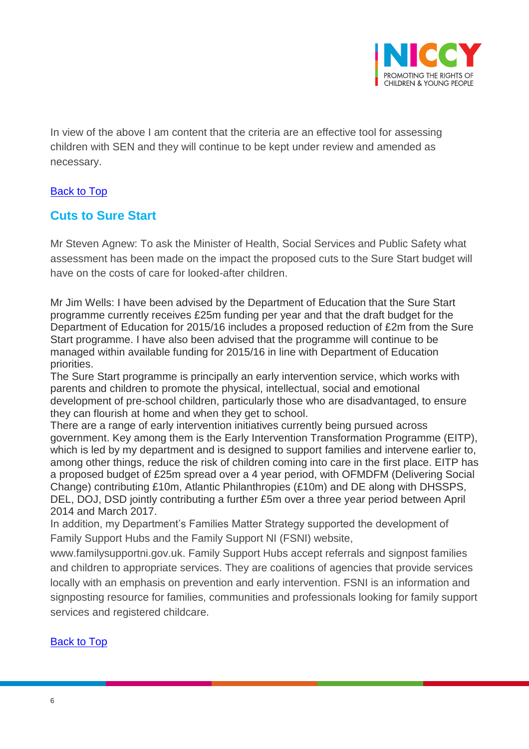

In view of the above I am content that the criteria are an effective tool for assessing children with SEN and they will continue to be kept under review and amended as necessary.

## [Back to Top](#page-0-12)

## **Cuts to Sure Start**

Mr Steven Agnew: To ask the Minister of Health, Social Services and Public Safety what assessment has been made on the impact the proposed cuts to the Sure Start budget will have on the costs of care for looked-after children.

Mr Jim Wells: I have been advised by the Department of Education that the Sure Start programme currently receives £25m funding per year and that the draft budget for the Department of Education for 2015/16 includes a proposed reduction of £2m from the Sure Start programme. I have also been advised that the programme will continue to be managed within available funding for 2015/16 in line with Department of Education priorities.

The Sure Start programme is principally an early intervention service, which works with parents and children to promote the physical, intellectual, social and emotional development of pre-school children, particularly those who are disadvantaged, to ensure they can flourish at home and when they get to school.

There are a range of early intervention initiatives currently being pursued across government. Key among them is the Early Intervention Transformation Programme (EITP), which is led by my department and is designed to support families and intervene earlier to, among other things, reduce the risk of children coming into care in the first place. EITP has a proposed budget of £25m spread over a 4 year period, with OFMDFM (Delivering Social Change) contributing £10m, Atlantic Philanthropies (£10m) and DE along with DHSSPS, DEL, DOJ, DSD jointly contributing a further £5m over a three year period between April 2014 and March 2017.

In addition, my Department's Families Matter Strategy supported the development of Family Support Hubs and the Family Support NI (FSNI) website,

www.familysupportni.gov.uk. Family Support Hubs accept referrals and signpost families and children to appropriate services. They are coalitions of agencies that provide services locally with an emphasis on prevention and early intervention. FSNI is an information and signposting resource for families, communities and professionals looking for family support services and registered childcare.

## [Back to Top](#page-0-12)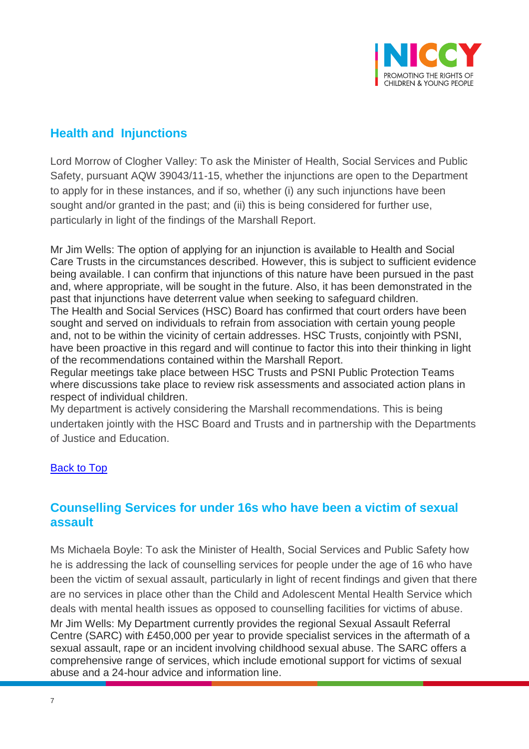

# **Health and Injunctions**

Lord Morrow of Clogher Valley: To ask the Minister of Health, Social Services and Public Safety, pursuant AQW 39043/11-15, whether the injunctions are open to the Department to apply for in these instances, and if so, whether (i) any such injunctions have been sought and/or granted in the past; and (ii) this is being considered for further use, particularly in light of the findings of the Marshall Report.

Mr Jim Wells: The option of applying for an injunction is available to Health and Social Care Trusts in the circumstances described. However, this is subject to sufficient evidence being available. I can confirm that injunctions of this nature have been pursued in the past and, where appropriate, will be sought in the future. Also, it has been demonstrated in the past that injunctions have deterrent value when seeking to safeguard children. The Health and Social Services (HSC) Board has confirmed that court orders have been sought and served on individuals to refrain from association with certain young people

and, not to be within the vicinity of certain addresses. HSC Trusts, conjointly with PSNI, have been proactive in this regard and will continue to factor this into their thinking in light of the recommendations contained within the Marshall Report.

Regular meetings take place between HSC Trusts and PSNI Public Protection Teams where discussions take place to review risk assessments and associated action plans in respect of individual children.

My department is actively considering the Marshall recommendations. This is being undertaken jointly with the HSC Board and Trusts and in partnership with the Departments of Justice and Education.

## **[Back to Top](#page-0-12)**

## **Counselling Services for under 16s who have been a victim of sexual assault**

Ms Michaela Boyle: To ask the Minister of Health, Social Services and Public Safety how he is addressing the lack of counselling services for people under the age of 16 who have been the victim of sexual assault, particularly in light of recent findings and given that there are no services in place other than the Child and Adolescent Mental Health Service which deals with mental health issues as opposed to counselling facilities for victims of abuse. Mr Jim Wells: My Department currently provides the regional Sexual Assault Referral Centre (SARC) with £450,000 per year to provide specialist services in the aftermath of a sexual assault, rape or an incident involving childhood sexual abuse. The SARC offers a comprehensive range of services, which include emotional support for victims of sexual abuse and a 24-hour advice and information line.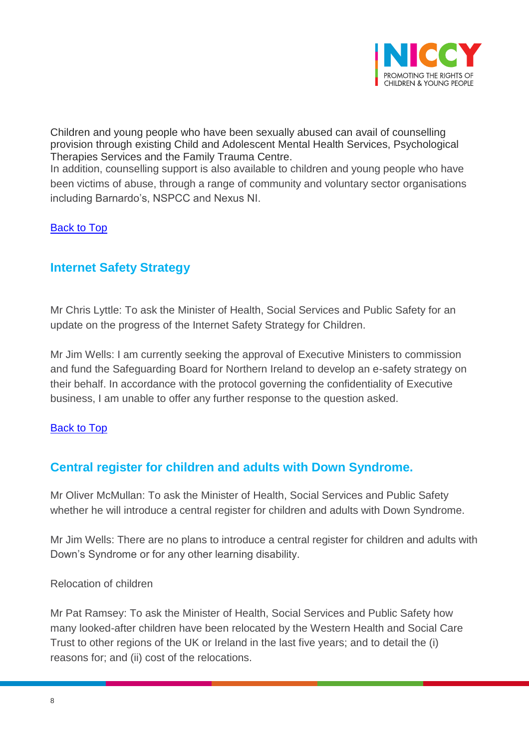

Children and young people who have been sexually abused can avail of counselling provision through existing Child and Adolescent Mental Health Services, Psychological Therapies Services and the Family Trauma Centre.

In addition, counselling support is also available to children and young people who have been victims of abuse, through a range of community and voluntary sector organisations including Barnardo's, NSPCC and Nexus NI.

#### [Back to Top](#page-0-12)

## **Internet Safety Strategy**

Mr Chris Lyttle: To ask the Minister of Health, Social Services and Public Safety for an update on the progress of the Internet Safety Strategy for Children.

Mr Jim Wells: I am currently seeking the approval of Executive Ministers to commission and fund the Safeguarding Board for Northern Ireland to develop an e-safety strategy on their behalf. In accordance with the protocol governing the confidentiality of Executive business, I am unable to offer any further response to the question asked.

#### [Back to Top](#page-0-12)

# **Central register for children and adults with Down Syndrome.**

Mr Oliver McMullan: To ask the Minister of Health, Social Services and Public Safety whether he will introduce a central register for children and adults with Down Syndrome.

Mr Jim Wells: There are no plans to introduce a central register for children and adults with Down's Syndrome or for any other learning disability.

#### Relocation of children

Mr Pat Ramsey: To ask the Minister of Health, Social Services and Public Safety how many looked-after children have been relocated by the Western Health and Social Care Trust to other regions of the UK or Ireland in the last five years; and to detail the (i) reasons for; and (ii) cost of the relocations.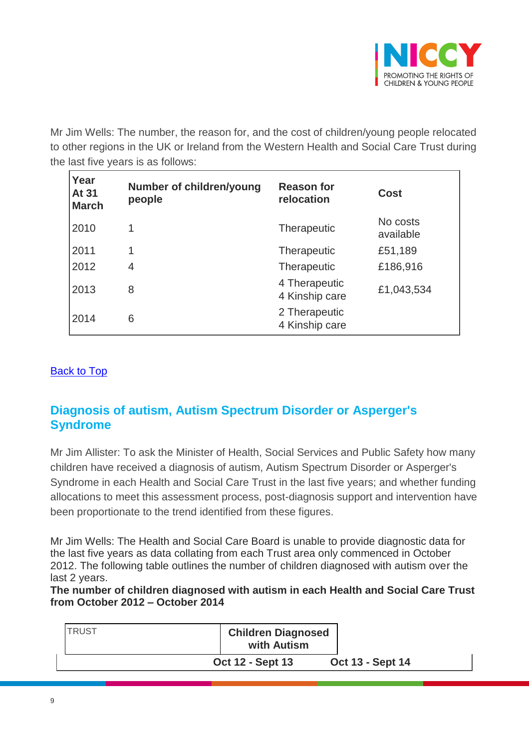

Mr Jim Wells: The number, the reason for, and the cost of children/young people relocated to other regions in the UK or Ireland from the Western Health and Social Care Trust during the last five years is as follows:

| Year<br>At 31<br><b>March</b> | <b>Number of children/young</b><br>people | <b>Reason for</b><br>relocation | Cost                  |
|-------------------------------|-------------------------------------------|---------------------------------|-----------------------|
| 2010                          | 1                                         | Therapeutic                     | No costs<br>available |
| 2011                          | 1                                         | Therapeutic                     | £51,189               |
| 2012                          | 4                                         | <b>Therapeutic</b>              | £186,916              |
| 2013                          | 8                                         | 4 Therapeutic<br>4 Kinship care | £1,043,534            |
| 2014                          | 6                                         | 2 Therapeutic<br>4 Kinship care |                       |

#### [Back to Top](#page-0-12)

# <span id="page-8-0"></span>**Diagnosis of autism, Autism Spectrum Disorder or Asperger's Syndrome**

Mr Jim Allister: To ask the Minister of Health, Social Services and Public Safety how many children have received a diagnosis of autism, Autism Spectrum Disorder or Asperger's Syndrome in each Health and Social Care Trust in the last five years; and whether funding allocations to meet this assessment process, post-diagnosis support and intervention have been proportionate to the trend identified from these figures.

Mr Jim Wells: The Health and Social Care Board is unable to provide diagnostic data for the last five years as data collating from each Trust area only commenced in October 2012. The following table outlines the number of children diagnosed with autism over the last 2 years.

**The number of children diagnosed with autism in each Health and Social Care Trust from October 2012 – October 2014**

| <b>TRUST</b> | <b>Children Diagnosed</b><br>with Autism |                         |
|--------------|------------------------------------------|-------------------------|
|              | <b>Oct 12 - Sept 13</b>                  | <b>Oct 13 - Sept 14</b> |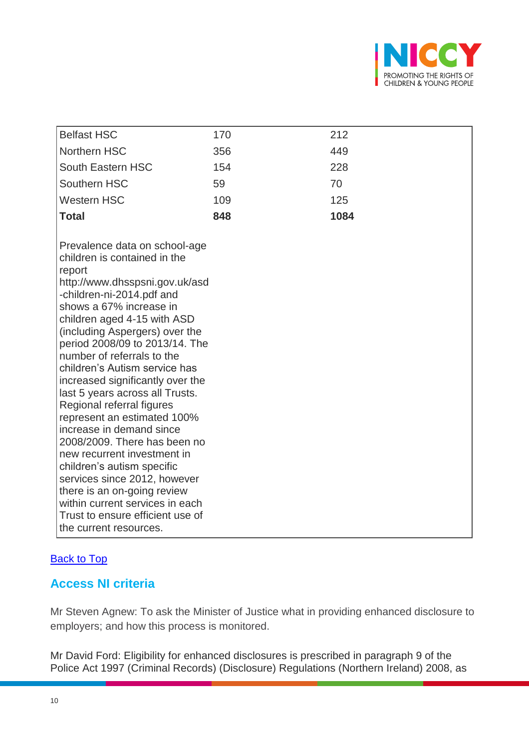

| <b>Belfast HSC</b>                                                                                                                                                                                                                                                                                                                                                                                                                                                                                                                                                                                                                                                                                                                                              | 170 | 212  |
|-----------------------------------------------------------------------------------------------------------------------------------------------------------------------------------------------------------------------------------------------------------------------------------------------------------------------------------------------------------------------------------------------------------------------------------------------------------------------------------------------------------------------------------------------------------------------------------------------------------------------------------------------------------------------------------------------------------------------------------------------------------------|-----|------|
| Northern HSC                                                                                                                                                                                                                                                                                                                                                                                                                                                                                                                                                                                                                                                                                                                                                    | 356 | 449  |
| South Eastern HSC                                                                                                                                                                                                                                                                                                                                                                                                                                                                                                                                                                                                                                                                                                                                               | 154 | 228  |
| Southern HSC                                                                                                                                                                                                                                                                                                                                                                                                                                                                                                                                                                                                                                                                                                                                                    | 59  | 70   |
| <b>Western HSC</b>                                                                                                                                                                                                                                                                                                                                                                                                                                                                                                                                                                                                                                                                                                                                              | 109 | 125  |
| <b>Total</b>                                                                                                                                                                                                                                                                                                                                                                                                                                                                                                                                                                                                                                                                                                                                                    | 848 | 1084 |
|                                                                                                                                                                                                                                                                                                                                                                                                                                                                                                                                                                                                                                                                                                                                                                 |     |      |
| Prevalence data on school-age<br>children is contained in the<br>report<br>http://www.dhsspsni.gov.uk/asd<br>-children-ni-2014.pdf and<br>shows a 67% increase in<br>children aged 4-15 with ASD<br>(including Aspergers) over the<br>period 2008/09 to 2013/14. The<br>number of referrals to the<br>children's Autism service has<br>increased significantly over the<br>last 5 years across all Trusts.<br>Regional referral figures<br>represent an estimated 100%<br>increase in demand since<br>2008/2009. There has been no<br>new recurrent investment in<br>children's autism specific<br>services since 2012, however<br>there is an on-going review<br>within current services in each<br>Trust to ensure efficient use of<br>the current resources. |     |      |

## **[Back to Top](#page-0-12)**

# <span id="page-9-0"></span>**Access NI criteria**

Mr Steven Agnew: To ask the Minister of Justice what in providing enhanced disclosure to employers; and how this process is monitored.

Mr David Ford: Eligibility for enhanced disclosures is prescribed in paragraph 9 of the Police Act 1997 (Criminal Records) (Disclosure) Regulations (Northern Ireland) 2008, as